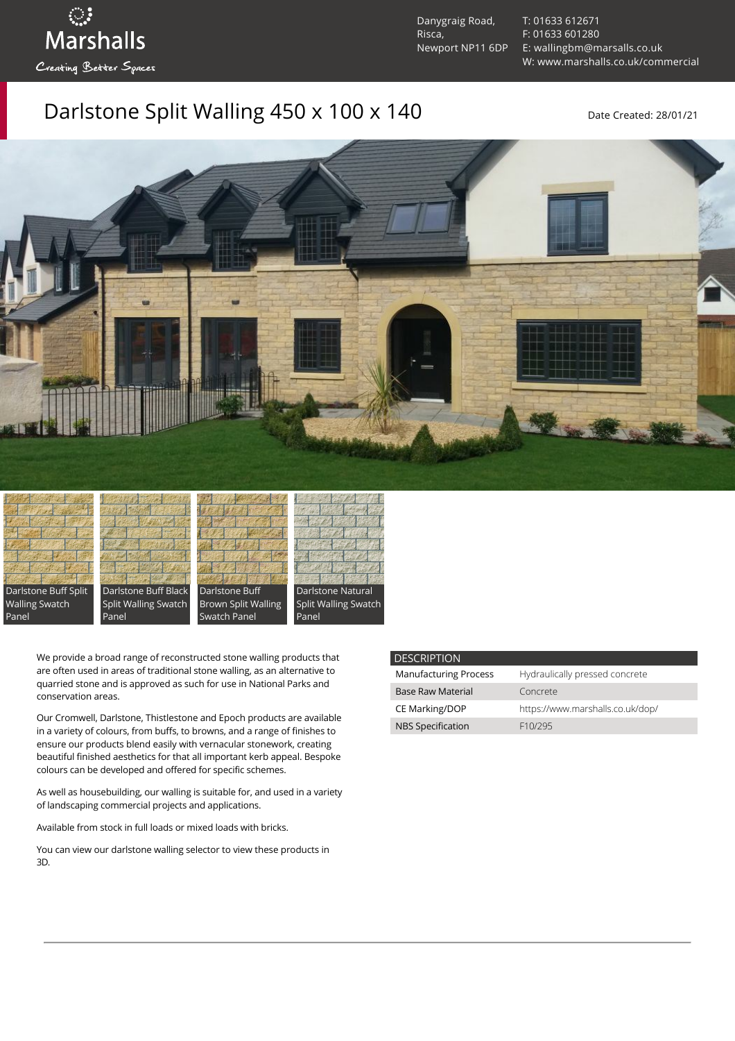Danygraig Road, Risca, Newport NP11 6DP [T: 01633 612671](tel:01633%20612671) [F: 01633 601280](tel:01633%20601280) [E: wallingbm@marsalls.co.uk](mailto:wallingbm@marsalls.co.uk) [W: www.marshalls.co.uk/commercial](https://www.marshalls.co.uk/commercial)

## Darlstone Split Walling 450 x 100 x 140 Date Created: 28/01/21





ः<br>Marshalls

Creating Better Spaces

Darlstone Buff Black Split Walling Swatch Panel





Panel

We provide a broad range of reconstructed stone walling products that are often used in areas of traditional stone walling, as an alternative to quarried stone and is approved as such for use in National Parks and conservation areas.

Our [Cromwell](https://www.marshalls.co.uk/commercial/product/cromwell-stone-walling), Darlstone, [Thistlestone](https://www.marshalls.co.uk/commercial/product/thistlestone-stone-walling) and Epoch products are available in a variety of colours, from buffs, to browns, and a range of finishes to ensure our products blend easily with vernacular stonework, creating beautiful finished aesthetics for that all important kerb appeal. Bespoke colours can be developed and offered for specific schemes.

As well as housebuilding, our walling is suitable for, and used in a variety of landscaping commercial projects and applications.

Available from stock in full loads or mixed loads with bricks.

You can view our [darlstone walling selector](https://www.paverpicker.com/paverpicker/?u=edenhall&cat=walling&subcat=darlstone_walling) to view these products in 3D.

| <b>DESCRIPTION</b>           |                                  |
|------------------------------|----------------------------------|
| <b>Manufacturing Process</b> | Hydraulically pressed concrete   |
| Base Raw Material            | Concrete                         |
| CE Marking/DOP               | https://www.marshalls.co.uk/dop/ |
| <b>NBS Specification</b>     | F10/295                          |